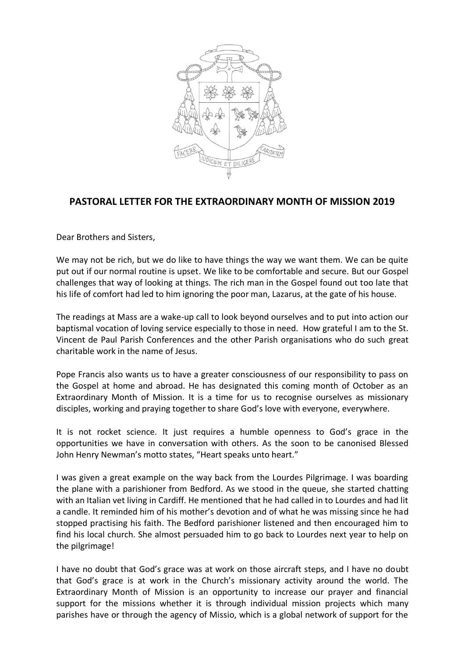

## **PASTORAL LETTER FOR THE EXTRAORDINARY MONTH OF MISSION 2019**

Dear Brothers and Sisters,

We may not be rich, but we do like to have things the way we want them. We can be quite put out if our normal routine is upset. We like to be comfortable and secure. But our Gospel challenges that way of looking at things. The rich man in the Gospel found out too late that his life of comfort had led to him ignoring the poor man, Lazarus, at the gate of his house.

The readings at Mass are a wake-up call to look beyond ourselves and to put into action our baptismal vocation of loving service especially to those in need. How grateful I am to the St. Vincent de Paul Parish Conferences and the other Parish organisations who do such great charitable work in the name of Jesus.

Pope Francis also wants us to have a greater consciousness of our responsibility to pass on the Gospel at home and abroad. He has designated this coming month of October as an Extraordinary Month of Mission. It is a time for us to recognise ourselves as missionary disciples, working and praying together to share God's love with everyone, everywhere.

It is not rocket science. It just requires a humble openness to God's grace in the opportunities we have in conversation with others. As the soon to be canonised Blessed John Henry Newman's motto states, "Heart speaks unto heart."

I was given a great example on the way back from the Lourdes Pilgrimage. I was boarding the plane with a parishioner from Bedford. As we stood in the queue, she started chatting with an Italian vet living in Cardiff. He mentioned that he had called in to Lourdes and had lit a candle. It reminded him of his mother's devotion and of what he was missing since he had stopped practising his faith. The Bedford parishioner listened and then encouraged him to find his local church. She almost persuaded him to go back to Lourdes next year to help on the pilgrimage!

I have no doubt that God's grace was at work on those aircraft steps, and I have no doubt that God's grace is at work in the Church's missionary activity around the world. The Extraordinary Month of Mission is an opportunity to increase our prayer and financial support for the missions whether it is through individual mission projects which many parishes have or through the agency of Missio, which is a global network of support for the